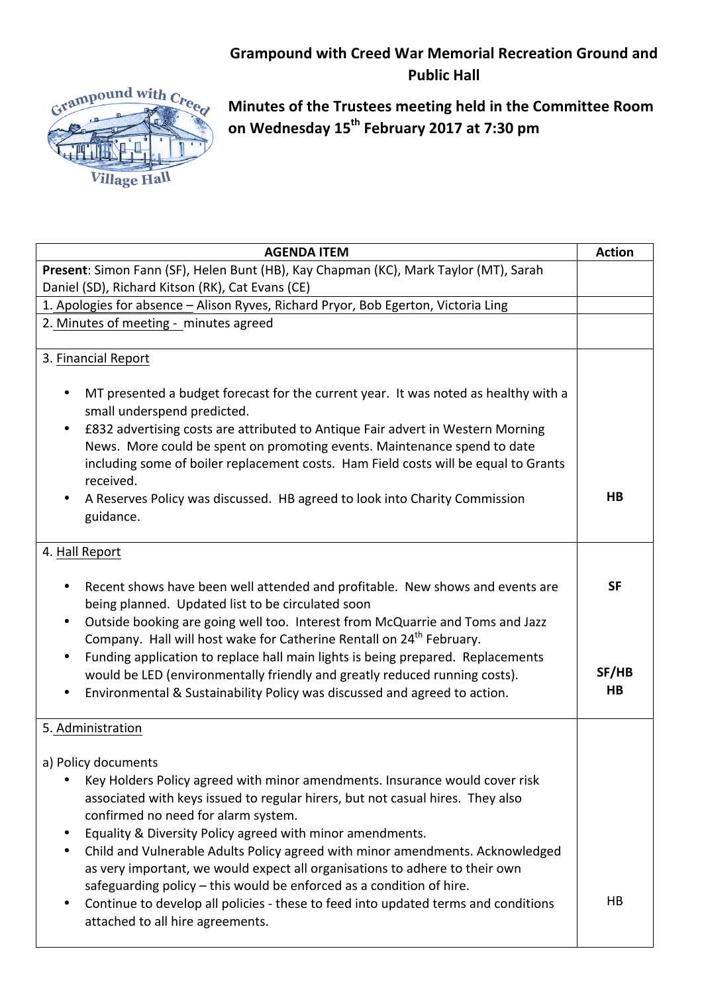## **Grampound with Creed War Memorial Recreation Ground and Public Hall**



**Minutes of the Trustees meeting held in the Committee Room on Wednesday 15th February 2017 at 7:30 pm**

| <b>AGENDA ITEM</b>                                                                                                                                                             | <b>Action</b>  |
|--------------------------------------------------------------------------------------------------------------------------------------------------------------------------------|----------------|
| Present: Simon Fann (SF), Helen Bunt (HB), Kay Chapman (KC), Mark Taylor (MT), Sarah                                                                                           |                |
| Daniel (SD), Richard Kitson (RK), Cat Evans (CE)                                                                                                                               |                |
| 1. Apologies for absence - Alison Ryves, Richard Pryor, Bob Egerton, Victoria Ling                                                                                             |                |
| 2. Minutes of meeting - minutes agreed                                                                                                                                         |                |
|                                                                                                                                                                                |                |
| 3. Financial Report                                                                                                                                                            |                |
| MT presented a budget forecast for the current year. It was noted as healthy with a<br>small underspend predicted.                                                             |                |
| £832 advertising costs are attributed to Antique Fair advert in Western Morning                                                                                                |                |
| News. More could be spent on promoting events. Maintenance spend to date                                                                                                       |                |
| including some of boiler replacement costs. Ham Field costs will be equal to Grants<br>received.                                                                               |                |
| A Reserves Policy was discussed. HB agreed to look into Charity Commission                                                                                                     | H <sub>B</sub> |
| guidance.                                                                                                                                                                      |                |
|                                                                                                                                                                                |                |
| 4. Hall Report                                                                                                                                                                 |                |
| Recent shows have been well attended and profitable. New shows and events are<br>being planned. Updated list to be circulated soon                                             | <b>SF</b>      |
| Outside booking are going well too. Interest from McQuarrie and Toms and Jazz<br>$\bullet$<br>Company. Hall will host wake for Catherine Rentall on 24 <sup>th</sup> February. |                |
| Funding application to replace hall main lights is being prepared. Replacements                                                                                                |                |
| would be LED (environmentally friendly and greatly reduced running costs).                                                                                                     | SF/HB          |
| Environmental & Sustainability Policy was discussed and agreed to action.                                                                                                      | HB             |
|                                                                                                                                                                                |                |
| 5. Administration                                                                                                                                                              |                |
| a) Policy documents                                                                                                                                                            |                |
| Key Holders Policy agreed with minor amendments. Insurance would cover risk                                                                                                    |                |
| associated with keys issued to regular hirers, but not casual hires. They also<br>confirmed no need for alarm system.                                                          |                |
| Equality & Diversity Policy agreed with minor amendments.                                                                                                                      |                |
| Child and Vulnerable Adults Policy agreed with minor amendments. Acknowledged                                                                                                  |                |
| as very important, we would expect all organisations to adhere to their own                                                                                                    |                |
| safeguarding policy $-$ this would be enforced as a condition of hire.                                                                                                         |                |
| Continue to develop all policies - these to feed into updated terms and conditions                                                                                             | HВ             |
| attached to all hire agreements.                                                                                                                                               |                |
|                                                                                                                                                                                |                |